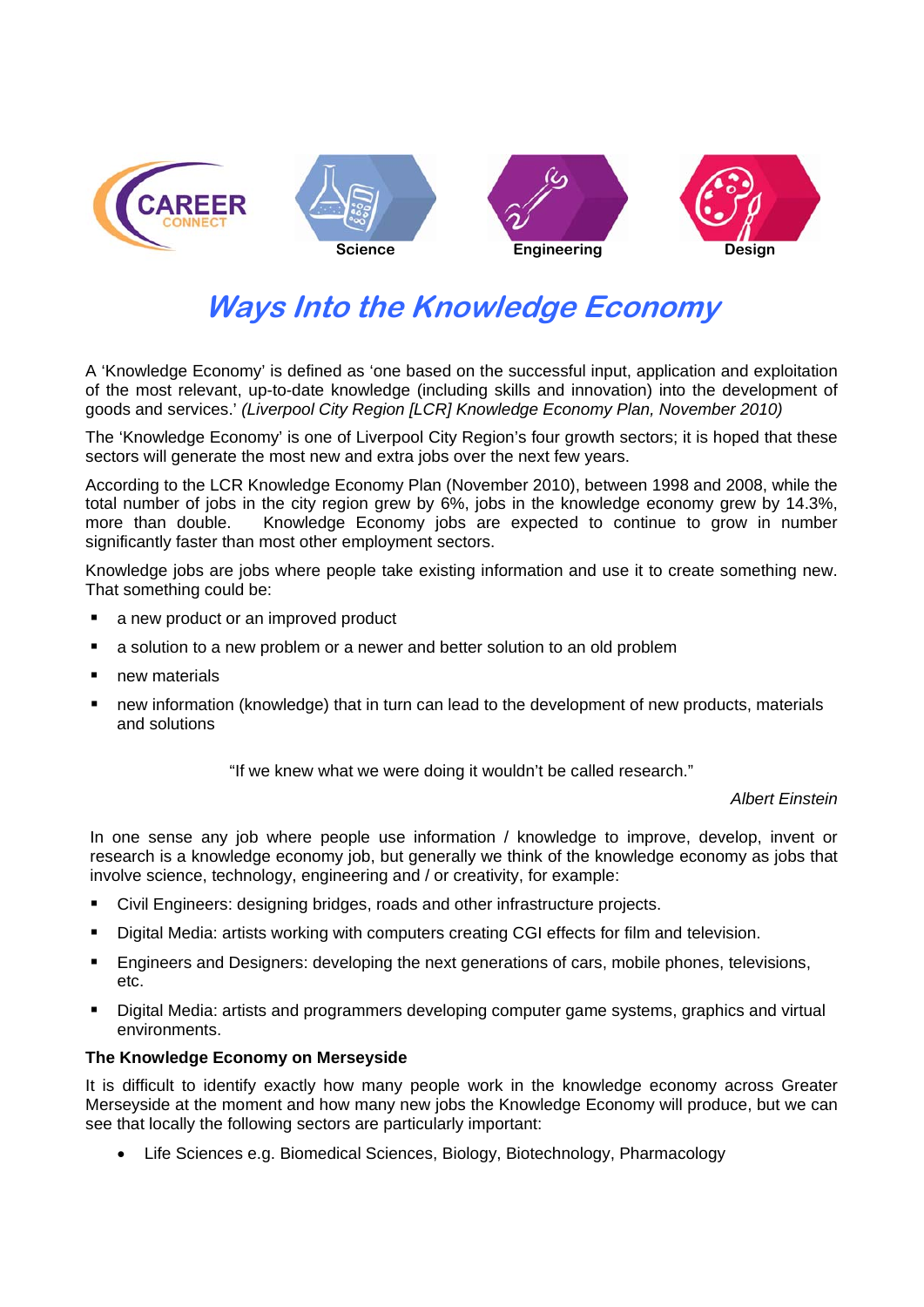

# **Ways Into the Knowledge Economy**

A 'Knowledge Economy' is defined as 'one based on the successful input, application and exploitation of the most relevant, up-to-date knowledge (including skills and innovation) into the development of goods and services.' *(Liverpool City Region [LCR] Knowledge Economy Plan, November 2010)*

The 'Knowledge Economy' is one of Liverpool City Region's four growth sectors; it is hoped that these sectors will generate the most new and extra jobs over the next few years.

According to the LCR Knowledge Economy Plan (November 2010), between 1998 and 2008, while the total number of jobs in the city region grew by 6%, jobs in the knowledge economy grew by 14.3%, more than double. Knowledge Economy jobs are expected to continue to grow in number significantly faster than most other employment sectors.

Knowledge jobs are jobs where people take existing information and use it to create something new. That something could be:

- a new product or an improved product
- a solution to a new problem or a newer and better solution to an old problem
- **new materials**
- new information (knowledge) that in turn can lead to the development of new products, materials and solutions

"If we knew what we were doing it wouldn't be called research."

*Albert Einstein* 

In one sense any job where people use information / knowledge to improve, develop, invent or research is a knowledge economy job, but generally we think of the knowledge economy as jobs that involve science, technology, engineering and / or creativity, for example:

- Civil Engineers: designing bridges, roads and other infrastructure projects.
- Digital Media: artists working with computers creating CGI effects for film and television.
- Engineers and Designers: developing the next generations of cars, mobile phones, televisions, etc.
- **Digital Media: artists and programmers developing computer game systems, graphics and virtual** environments.

#### **The Knowledge Economy on Merseyside**

It is difficult to identify exactly how many people work in the knowledge economy across Greater Merseyside at the moment and how many new jobs the Knowledge Economy will produce, but we can see that locally the following sectors are particularly important:

Life Sciences e.g. Biomedical Sciences, Biology, Biotechnology, Pharmacology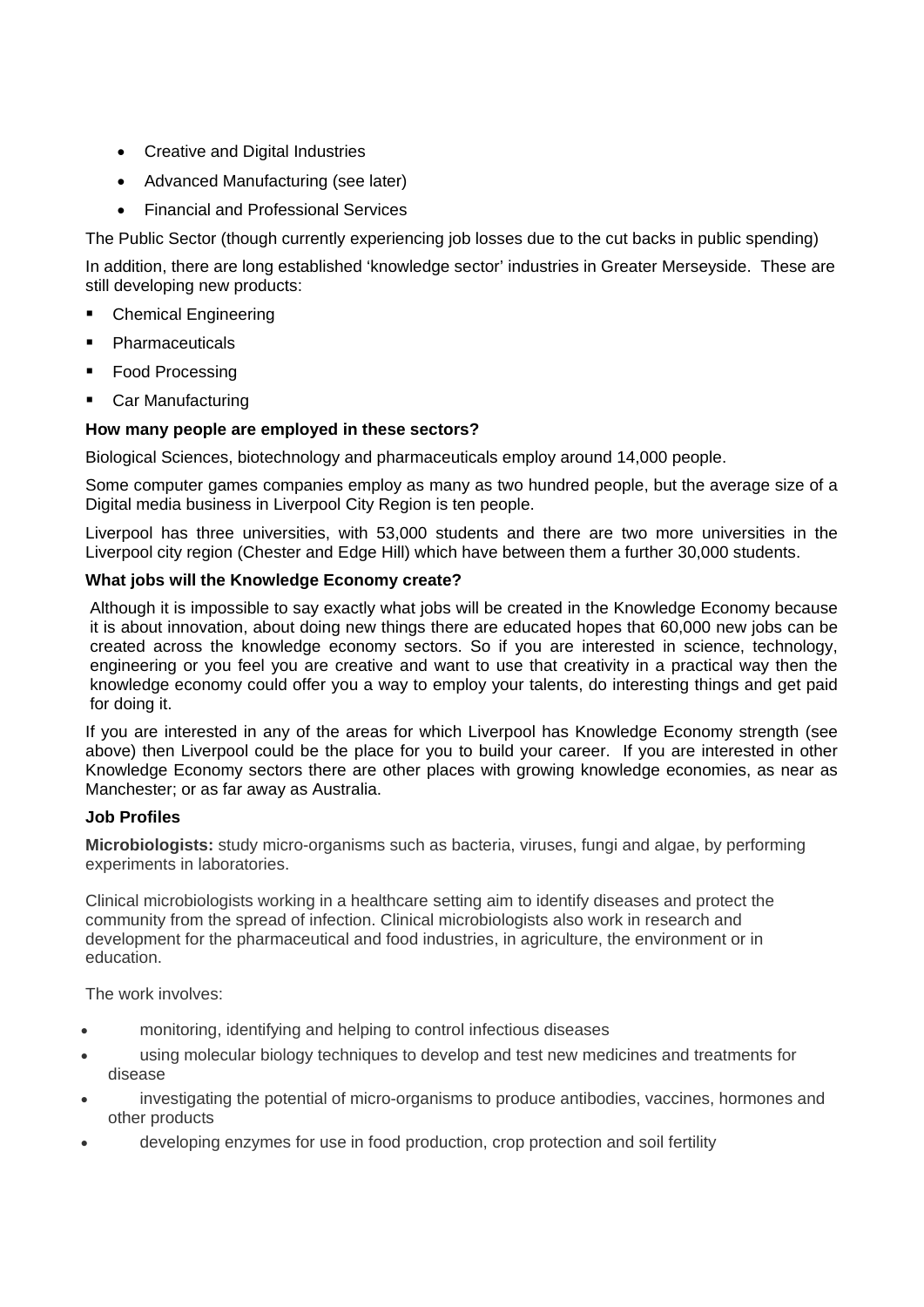- Creative and Digital Industries
- Advanced Manufacturing (see later)
- Financial and Professional Services

The Public Sector (though currently experiencing job losses due to the cut backs in public spending)

In addition, there are long established 'knowledge sector' industries in Greater Merseyside. These are still developing new products:

- Chemical Engineering
- Pharmaceuticals
- Food Processing
- Car Manufacturing

## **How many people are employed in these sectors?**

Biological Sciences, biotechnology and pharmaceuticals employ around 14,000 people.

Some computer games companies employ as many as two hundred people, but the average size of a Digital media business in Liverpool City Region is ten people.

Liverpool has three universities, with 53,000 students and there are two more universities in the Liverpool city region (Chester and Edge Hill) which have between them a further 30,000 students.

## **What jobs will the Knowledge Economy create?**

Although it is impossible to say exactly what jobs will be created in the Knowledge Economy because it is about innovation, about doing new things there are educated hopes that 60,000 new jobs can be created across the knowledge economy sectors. So if you are interested in science, technology, engineering or you feel you are creative and want to use that creativity in a practical way then the knowledge economy could offer you a way to employ your talents, do interesting things and get paid for doing it.

If you are interested in any of the areas for which Liverpool has Knowledge Economy strength (see above) then Liverpool could be the place for you to build your career. If you are interested in other Knowledge Economy sectors there are other places with growing knowledge economies, as near as Manchester; or as far away as Australia.

# **Job Profiles**

**Microbiologists:** study micro-organisms such as bacteria, viruses, fungi and algae, by performing experiments in laboratories.

Clinical microbiologists working in a healthcare setting aim to identify diseases and protect the community from the spread of infection. Clinical microbiologists also work in research and development for the pharmaceutical and food industries, in agriculture, the environment or in education.

The work involves:

- monitoring, identifying and helping to control infectious diseases
- using molecular biology techniques to develop and test new medicines and treatments for disease
- investigating the potential of micro-organisms to produce antibodies, vaccines, hormones and other products
- developing enzymes for use in food production, crop protection and soil fertility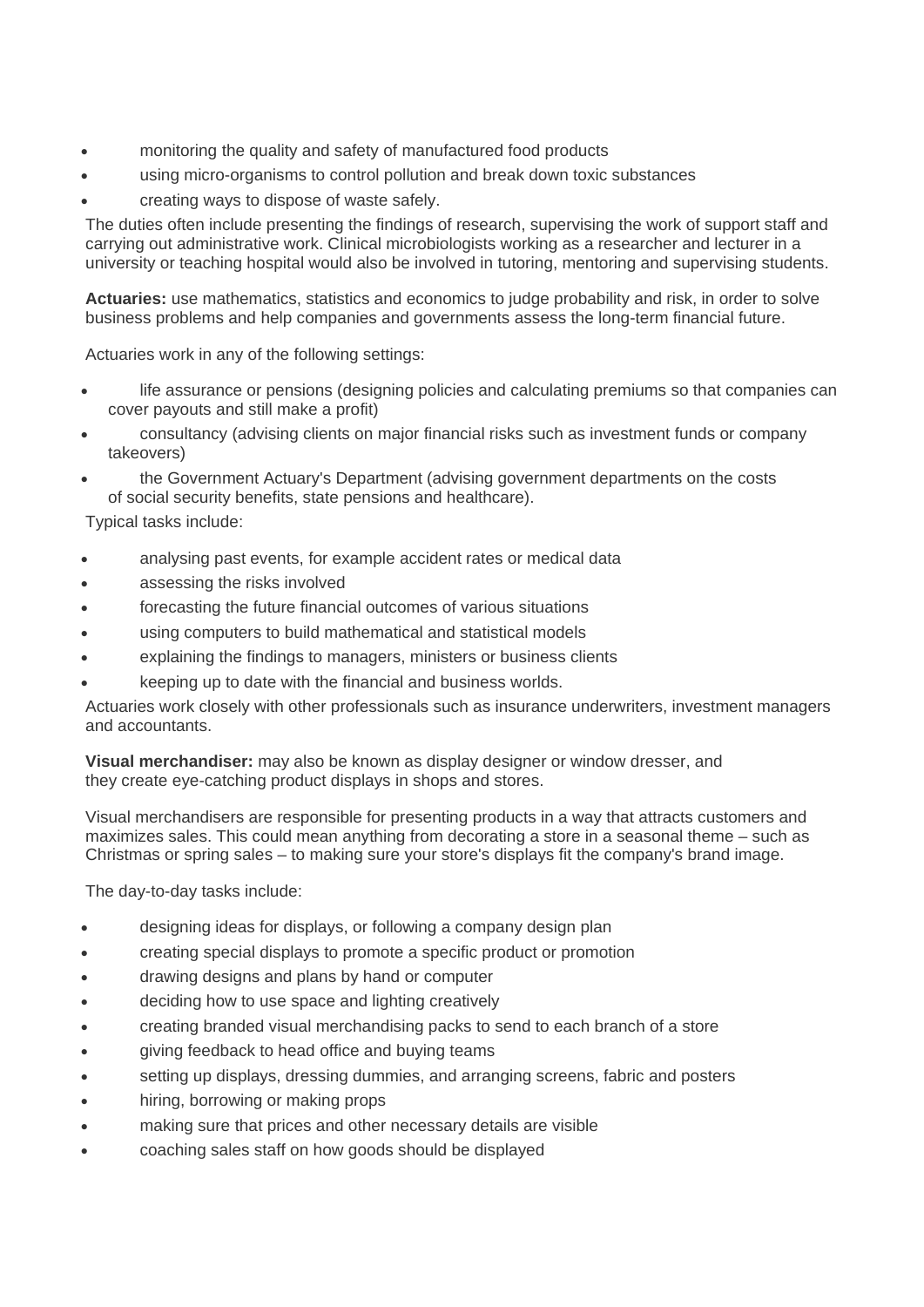- monitoring the quality and safety of manufactured food products
- using micro-organisms to control pollution and break down toxic substances
- creating ways to dispose of waste safely.

The duties often include presenting the findings of research, supervising the work of support staff and carrying out administrative work. Clinical microbiologists working as a researcher and lecturer in a university or teaching hospital would also be involved in tutoring, mentoring and supervising students.

**Actuaries:** use mathematics, statistics and economics to judge probability and risk, in order to solve business problems and help companies and governments assess the long-term financial future.

Actuaries work in any of the following settings:

- life assurance or pensions (designing policies and calculating premiums so that companies can cover payouts and still make a profit)
- consultancy (advising clients on major financial risks such as investment funds or company takeovers)
- the Government Actuary's Department (advising government departments on the costs of social security benefits, state pensions and healthcare).

Typical tasks include:

- analysing past events, for example accident rates or medical data
- assessing the risks involved
- forecasting the future financial outcomes of various situations
- using computers to build mathematical and statistical models
- explaining the findings to managers, ministers or business clients
- keeping up to date with the financial and business worlds.

Actuaries work closely with other professionals such as insurance underwriters, investment managers and accountants.

**Visual merchandiser:** may also be known as display designer or window dresser, and they create eye-catching product displays in shops and stores.

Visual merchandisers are responsible for presenting products in a way that attracts customers and maximizes sales. This could mean anything from decorating a store in a seasonal theme – such as Christmas or spring sales – to making sure your store's displays fit the company's brand image.

The day-to-day tasks include:

- designing ideas for displays, or following a company design plan
- creating special displays to promote a specific product or promotion
- drawing designs and plans by hand or computer
- deciding how to use space and lighting creatively
- creating branded visual merchandising packs to send to each branch of a store
- giving feedback to head office and buying teams
- setting up displays, dressing dummies, and arranging screens, fabric and posters
- hiring, borrowing or making props
- making sure that prices and other necessary details are visible
- coaching sales staff on how goods should be displayed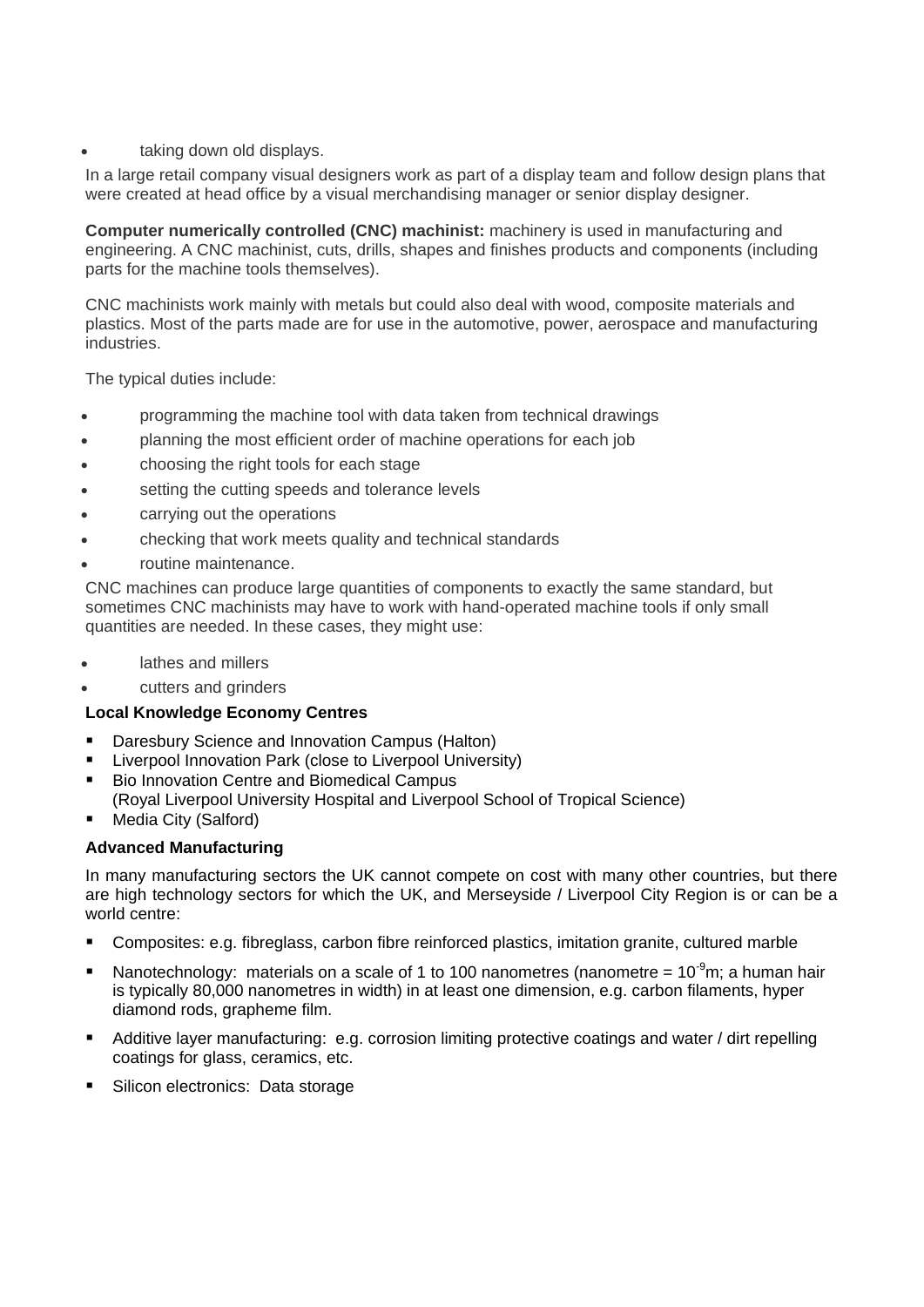#### taking down old displays.

In a large retail company visual designers work as part of a display team and follow design plans that were created at head office by a visual merchandising manager or senior display designer.

**Computer numerically controlled (CNC) machinist:** machinery is used in manufacturing and engineering. A CNC machinist, cuts, drills, shapes and finishes products and components (including parts for the machine tools themselves).

CNC machinists work mainly with metals but could also deal with wood, composite materials and plastics. Most of the parts made are for use in the automotive, power, aerospace and manufacturing industries.

The typical duties include:

- programming the machine tool with data taken from technical drawings
- planning the most efficient order of machine operations for each job
- choosing the right tools for each stage
- setting the cutting speeds and tolerance levels
- carrying out the operations
- checking that work meets quality and technical standards
- routine maintenance.

CNC machines can produce large quantities of components to exactly the same standard, but sometimes CNC machinists may have to work with hand-operated machine tools if only small quantities are needed. In these cases, they might use:

- lathes and millers
- cutters and grinders

## **Local Knowledge Economy Centres**

- Daresbury Science and Innovation Campus (Halton)
- Liverpool Innovation Park (close to Liverpool University)
- Bio Innovation Centre and Biomedical Campus
- (Royal Liverpool University Hospital and Liverpool School of Tropical Science)
- Media City (Salford)

#### **Advanced Manufacturing**

In many manufacturing sectors the UK cannot compete on cost with many other countries, but there are high technology sectors for which the UK, and Merseyside / Liverpool City Region is or can be a world centre:

- Composites: e.g. fibreglass, carbon fibre reinforced plastics, imitation granite, cultured marble
- Nanotechnology: materials on a scale of 1 to 100 nanometres (nanometre =  $10^{-9}$ m; a human hair is typically 80,000 nanometres in width) in at least one dimension, e.g. carbon filaments, hyper diamond rods, grapheme film.
- Additive layer manufacturing: e.g. corrosion limiting protective coatings and water / dirt repelling coatings for glass, ceramics, etc.
- Silicon electronics: Data storage